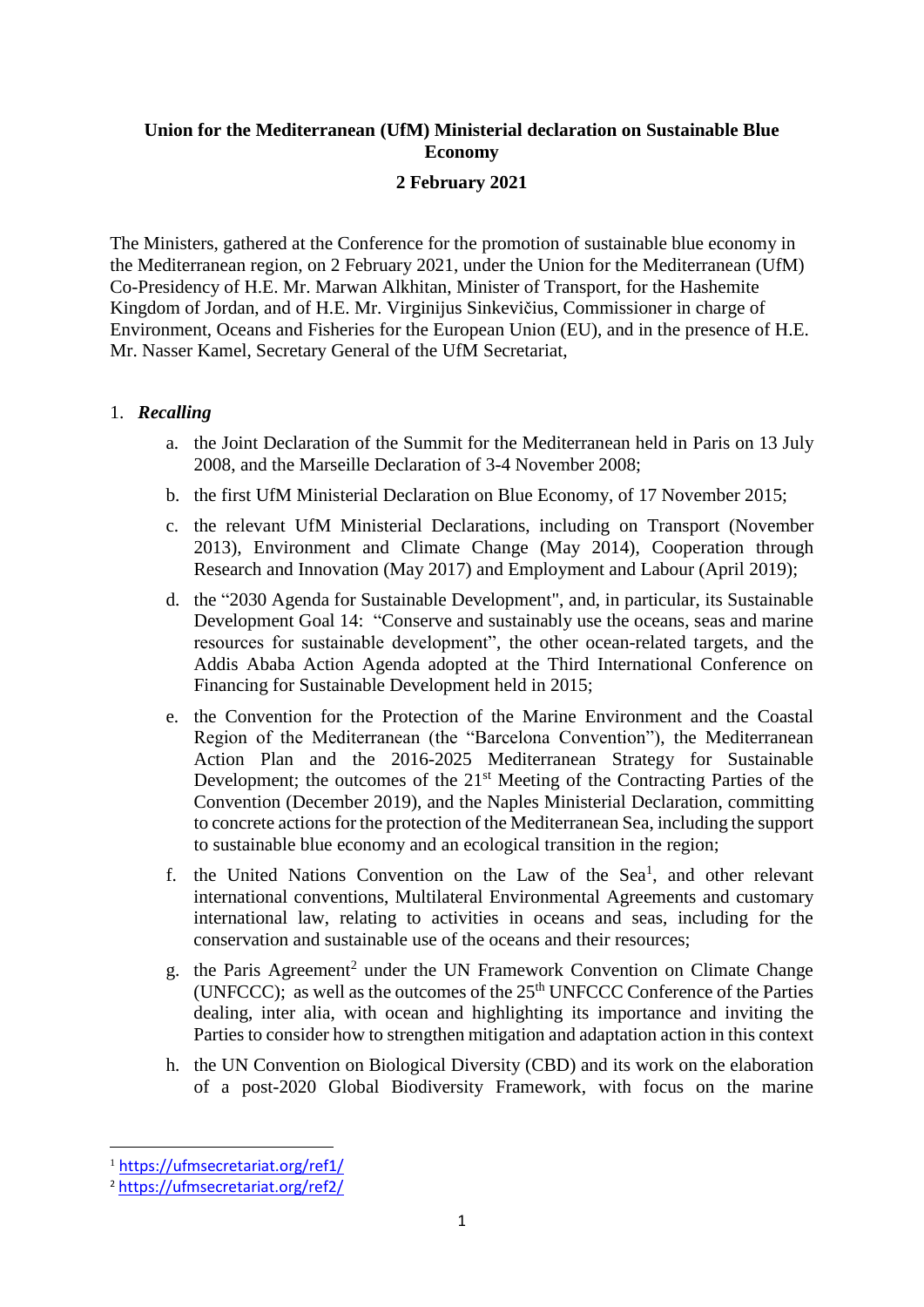# **Union for the Mediterranean (UfM) Ministerial declaration on Sustainable Blue Economy**

## **2 February 2021**

The Ministers, gathered at the Conference for the promotion of sustainable blue economy in the Mediterranean region, on 2 February 2021, under the Union for the Mediterranean (UfM) Co-Presidency of H.E. Mr. Marwan Alkhitan, Minister of Transport, for the Hashemite Kingdom of Jordan, and of H.E. Mr. Virginijus Sinkevičius, Commissioner in charge of Environment, Oceans and Fisheries for the European Union (EU), and in the presence of H.E. Mr. Nasser Kamel, Secretary General of the UfM Secretariat,

### 1. *Recalling*

- a. the Joint Declaration of the Summit for the Mediterranean held in Paris on 13 July 2008, and the Marseille Declaration of 3-4 November 2008;
- b. the first UfM Ministerial Declaration on Blue Economy, of 17 November 2015;
- c. the relevant UfM Ministerial Declarations, including on Transport (November 2013), Environment and Climate Change (May 2014), Cooperation through Research and Innovation (May 2017) and Employment and Labour (April 2019);
- d. the "2030 Agenda for Sustainable Development", and, in particular, its Sustainable Development Goal 14: "Conserve and sustainably use the oceans, seas and marine resources for sustainable development", the other ocean-related targets, and the Addis Ababa Action Agenda adopted at the Third International Conference on Financing for Sustainable Development held in 2015;
- e. the Convention for the Protection of the Marine Environment and the Coastal Region of the Mediterranean (the "Barcelona Convention"), the Mediterranean Action Plan and the 2016-2025 Mediterranean Strategy for Sustainable Development; the outcomes of the 21<sup>st</sup> Meeting of the Contracting Parties of the Convention (December 2019), and the Naples Ministerial Declaration, committing to concrete actions for the protection of the Mediterranean Sea, including the support to sustainable blue economy and an ecological transition in the region;
- f. the United Nations Convention on the Law of the Sea<sup>1</sup>, and other relevant international conventions, Multilateral Environmental Agreements and customary international law, relating to activities in oceans and seas, including for the conservation and sustainable use of the oceans and their resources;
- g. the Paris Agreement<sup>2</sup> under the UN Framework Convention on Climate Change (UNFCCC); as well as the outcomes of the  $25<sup>th</sup>$  UNFCCC Conference of the Parties dealing, inter alia, with ocean and highlighting its importance and inviting the Parties to consider how to strengthen mitigation and adaptation action in this context
- h. the UN Convention on Biological Diversity (CBD) and its work on the elaboration of a post-2020 Global Biodiversity Framework, with focus on the marine

<sup>1</sup> [https://ufmsecretariat.org/ref1/](https://urldefense.com/v3/__https:/ufmsecretariat.org/ref1/__;!!DOxrgLBm!Udbv-8C8NHsDtKPxXuoQNxz_L2IxjwHwwdWacZE6t1EtHiW2yGfywGmY3QiMyTNCBBr6uGlQRA$)

<sup>2</sup> [https://ufmsecretariat.org/ref2/](https://urldefense.com/v3/__https:/ufmsecretariat.org/ref2/__;!!DOxrgLBm!Udbv-8C8NHsDtKPxXuoQNxz_L2IxjwHwwdWacZE6t1EtHiW2yGfywGmY3QiMyTNCBBpSaFkO5A$)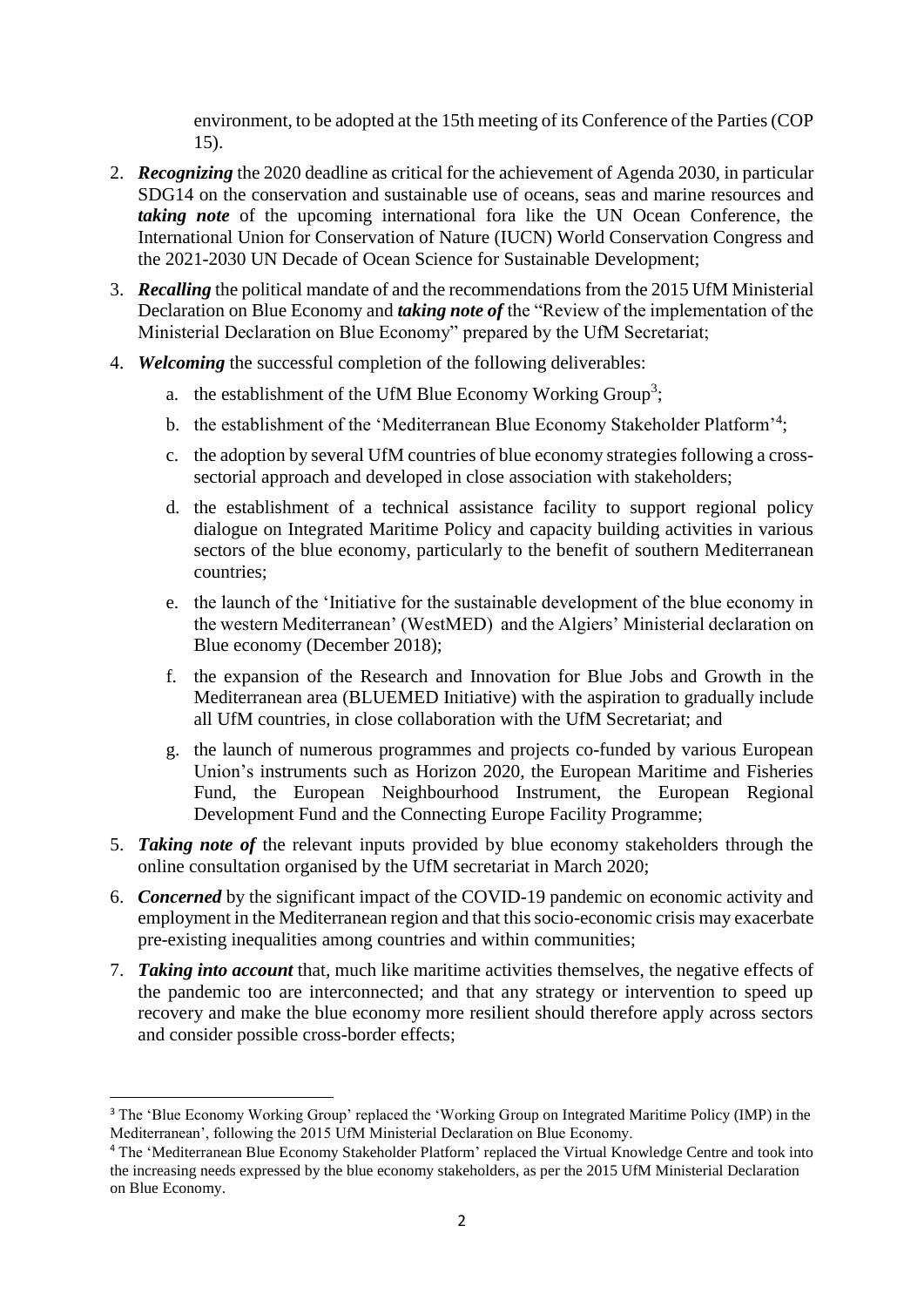environment, to be adopted at the 15th meeting of its Conference of the Parties (COP 15).

- 2. *Recognizing* the 2020 deadline as critical for the achievement of Agenda 2030, in particular SDG14 on the conservation and sustainable use of oceans, seas and marine resources and *taking note* of the upcoming international fora like the UN Ocean Conference, the International Union for Conservation of Nature (IUCN) World Conservation Congress and the 2021-2030 UN Decade of Ocean Science for Sustainable Development;
- 3. *Recalling* the political mandate of and the recommendations from the 2015 UfM Ministerial Declaration on Blue Economy and *taking note of* the "Review of the implementation of the Ministerial Declaration on Blue Economy" prepared by the UfM Secretariat;
- 4. *Welcoming* the successful completion of the following deliverables:
	- a. the establishment of the UfM Blue Economy Working Group<sup>3</sup>;
	- b. the establishment of the 'Mediterranean Blue Economy Stakeholder Platform'<sup>4</sup>;
	- c. the adoption by several UfM countries of blue economy strategies following a crosssectorial approach and developed in close association with stakeholders;
	- d. the establishment of a technical assistance facility to support regional policy dialogue on Integrated Maritime Policy and capacity building activities in various sectors of the blue economy, particularly to the benefit of southern Mediterranean countries;
	- e. the launch of the 'Initiative for the sustainable development of the blue economy in the western Mediterranean' (WestMED) and the Algiers' Ministerial declaration on Blue economy (December 2018);
	- f. the expansion of the Research and Innovation for Blue Jobs and Growth in the Mediterranean area (BLUEMED Initiative) with the aspiration to gradually include all UfM countries, in close collaboration with the UfM Secretariat; and
	- g. the launch of numerous programmes and projects co-funded by various European Union's instruments such as Horizon 2020, the European Maritime and Fisheries Fund, the European Neighbourhood Instrument, the European Regional Development Fund and the Connecting Europe Facility Programme;
- 5. *Taking note of* the relevant inputs provided by blue economy stakeholders through the online consultation organised by the UfM secretariat in March 2020;
- 6. *Concerned* by the significant impact of the COVID-19 pandemic on economic activity and employment in the Mediterranean region and that this socio-economic crisis may exacerbate pre-existing inequalities among countries and within communities;
- 7. *Taking into account* that, much like maritime activities themselves, the negative effects of the pandemic too are interconnected; and that any strategy or intervention to speed up recovery and make the blue economy more resilient should therefore apply across sectors and consider possible cross-border effects;

 $\overline{a}$ 

<sup>3</sup> The 'Blue Economy Working Group' replaced the 'Working Group on Integrated Maritime Policy (IMP) in the Mediterranean', following the 2015 UfM Ministerial Declaration on Blue Economy.

<sup>4</sup> The ['Mediterranean Blue Economy Stakeholder Platform'](http://www.medblueconomyplatform.org/#gsc.tab=0) replaced the Virtual Knowledge Centre and took into the increasing needs expressed by the blue economy stakeholders, as per the 2015 UfM Ministerial Declaration on Blue Economy.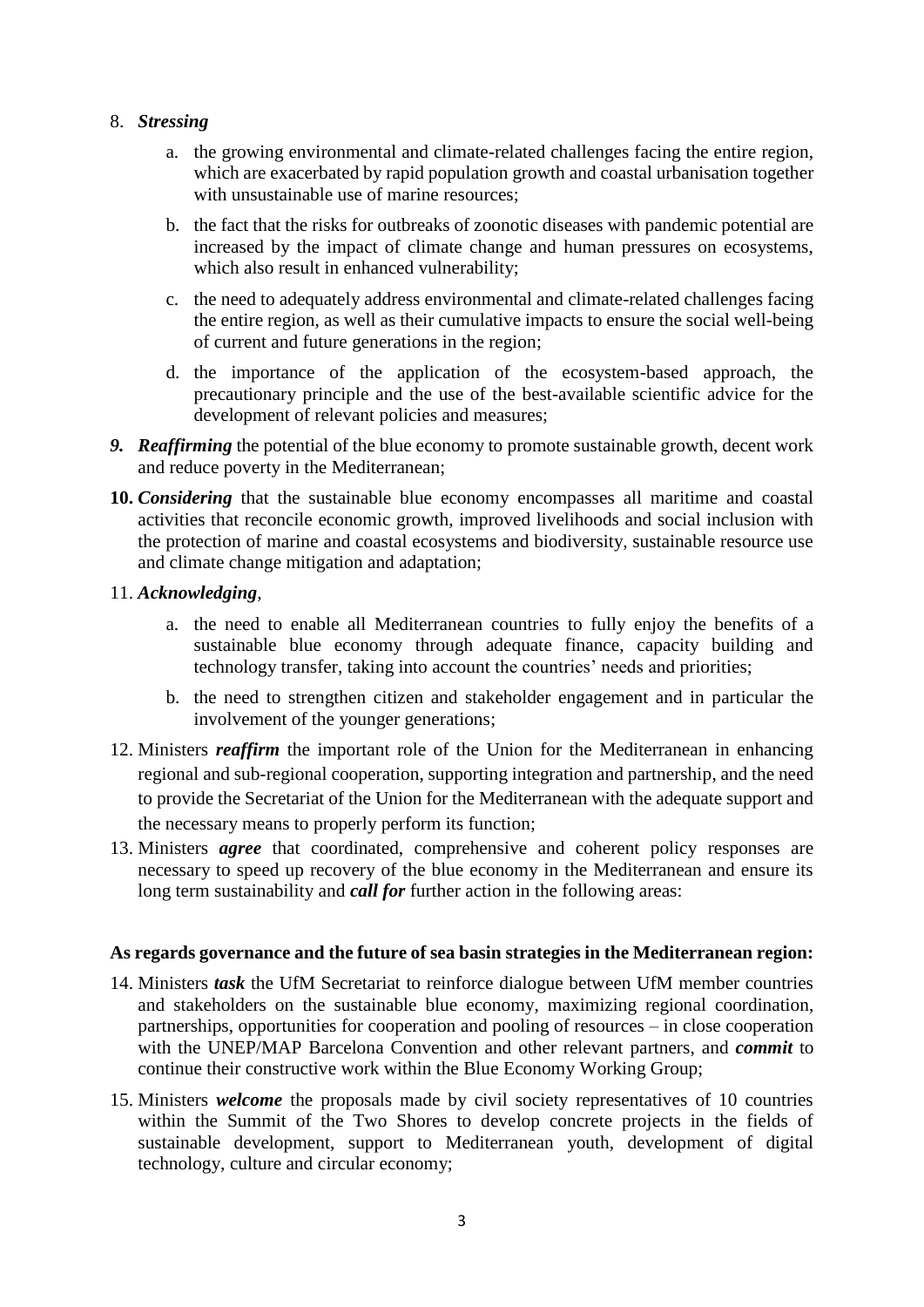### 8. *Stressing*

- a. the growing environmental and climate-related challenges facing the entire region, which are exacerbated by rapid population growth and coastal urbanisation together with unsustainable use of marine resources;
- b. the fact that the risks for outbreaks of zoonotic diseases with pandemic potential are increased by the impact of climate change and human pressures on ecosystems, which also result in enhanced vulnerability;
- c. the need to adequately address environmental and climate-related challenges facing the entire region, as well as their cumulative impacts to ensure the social well-being of current and future generations in the region;
- d. the importance of the application of the ecosystem-based approach, the precautionary principle and the use of the best-available scientific advice for the development of relevant policies and measures;
- *9. Reaffirming* the potential of the blue economy to promote sustainable growth, decent work and reduce poverty in the Mediterranean;
- **10.** *Considering* that the sustainable blue economy encompasses all maritime and coastal activities that reconcile economic growth, improved livelihoods and social inclusion with the protection of marine and coastal ecosystems and biodiversity, sustainable resource use and climate change mitigation and adaptation;

### 11. *Acknowledging*,

- a. the need to enable all Mediterranean countries to fully enjoy the benefits of a sustainable blue economy through adequate finance, capacity building and technology transfer, taking into account the countries' needs and priorities;
- b. the need to strengthen citizen and stakeholder engagement and in particular the involvement of the younger generations;
- 12. Ministers *reaffirm* the important role of the Union for the Mediterranean in enhancing regional and sub-regional cooperation, supporting integration and partnership, and the need to provide the Secretariat of the Union for the Mediterranean with the adequate support and the necessary means to properly perform its function;
- 13. Ministers *agree* that coordinated, comprehensive and coherent policy responses are necessary to speed up recovery of the blue economy in the Mediterranean and ensure its long term sustainability and *call for* further action in the following areas:

### **As regards governance and the future of sea basin strategies in the Mediterranean region:**

- 14. Ministers *task* the UfM Secretariat to reinforce dialogue between UfM member countries and stakeholders on the sustainable blue economy, maximizing regional coordination, partnerships, opportunities for cooperation and pooling of resources – in close cooperation with the UNEP/MAP Barcelona Convention and other relevant partners, and *commit* to continue their constructive work within the Blue Economy Working Group;
- 15. Ministers *welcome* the proposals made by civil society representatives of 10 countries within the Summit of the Two Shores to develop concrete projects in the fields of sustainable development, support to Mediterranean youth, development of digital technology, culture and circular economy;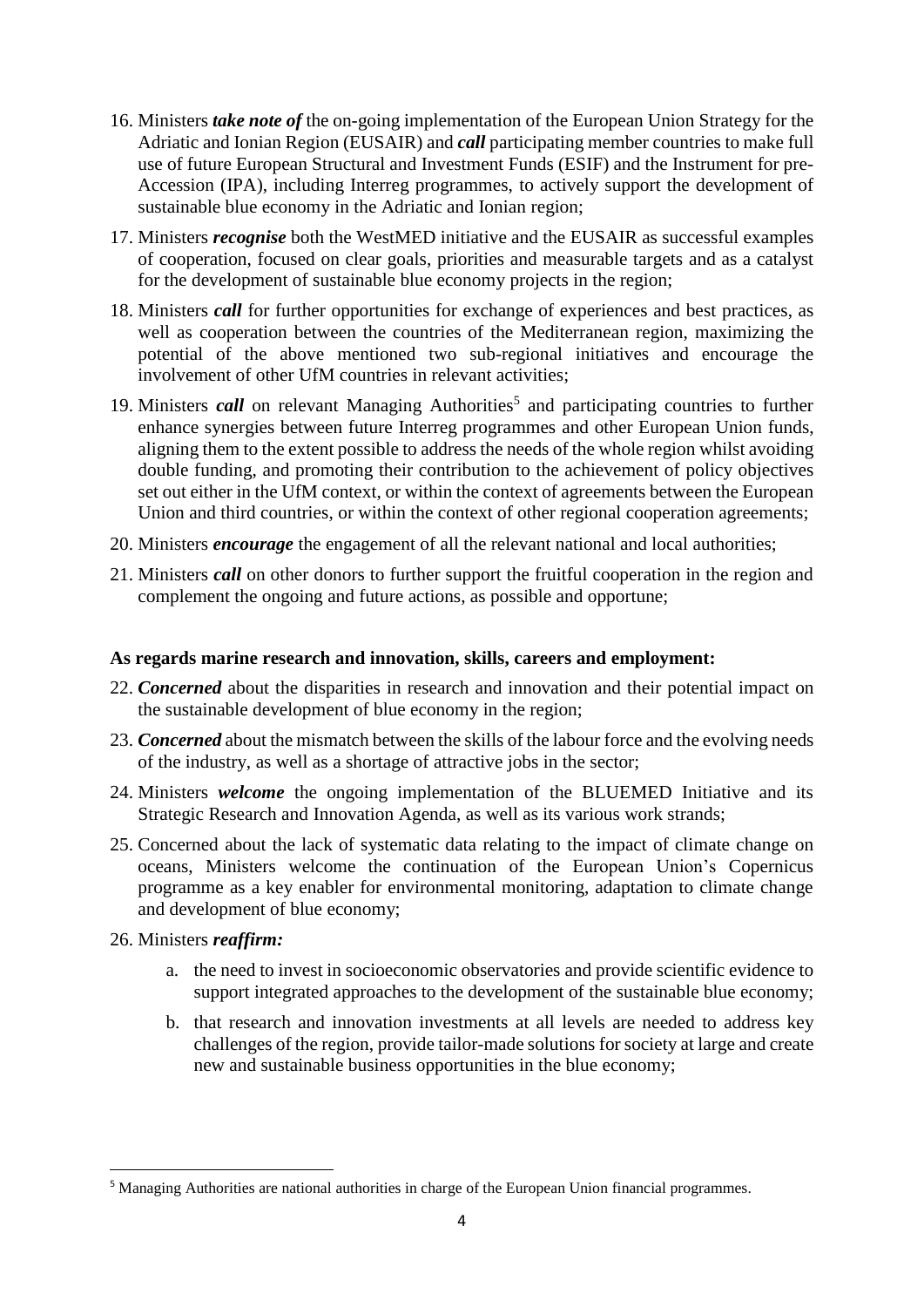- 16. Ministers *take note of* the on-going implementation of the European Union Strategy for the Adriatic and Ionian Region (EUSAIR) and *call* participating member countries to make full use of future European Structural and Investment Funds (ESIF) and the Instrument for pre-Accession (IPA), including Interreg programmes, to actively support the development of sustainable blue economy in the Adriatic and Ionian region;
- 17. Ministers *recognise* both the WestMED initiative and the EUSAIR as successful examples of cooperation, focused on clear goals, priorities and measurable targets and as a catalyst for the development of sustainable blue economy projects in the region;
- 18. Ministers *call* for further opportunities for exchange of experiences and best practices, as well as cooperation between the countries of the Mediterranean region, maximizing the potential of the above mentioned two sub-regional initiatives and encourage the involvement of other UfM countries in relevant activities;
- 19. Ministers *call* on relevant Managing Authorities<sup>5</sup> and participating countries to further enhance synergies between future Interreg programmes and other European Union funds, aligning them to the extent possible to address the needs of the whole region whilst avoiding double funding, and promoting their contribution to the achievement of policy objectives set out either in the UfM context, or within the context of agreements between the European Union and third countries, or within the context of other regional cooperation agreements;
- 20. Ministers *encourage* the engagement of all the relevant national and local authorities;
- 21. Ministers *call* on other donors to further support the fruitful cooperation in the region and complement the ongoing and future actions, as possible and opportune;

### **As regards marine research and innovation, skills, careers and employment:**

- 22. *Concerned* about the disparities in research and innovation and their potential impact on the sustainable development of blue economy in the region;
- 23. *Concerned* about the mismatch between the skills of the labour force and the evolving needs of the industry, as well as a shortage of attractive jobs in the sector;
- 24. Ministers *welcome* the ongoing implementation of the BLUEMED Initiative and its Strategic Research and Innovation Agenda, as well as its various work strands;
- 25. Concerned about the lack of systematic data relating to the impact of climate change on oceans, Ministers welcome the continuation of the European Union's Copernicus programme as a key enabler for environmental monitoring, adaptation to climate change and development of blue economy;

### 26. Ministers *reaffirm:*

- a. the need to invest in socioeconomic observatories and provide scientific evidence to support integrated approaches to the development of the sustainable blue economy;
- b. that research and innovation investments at all levels are needed to address key challenges of the region, provide tailor-made solutions for society at large and create new and sustainable business opportunities in the blue economy;

<sup>&</sup>lt;sup>5</sup> Managing Authorities are national authorities in charge of the European Union financial programmes.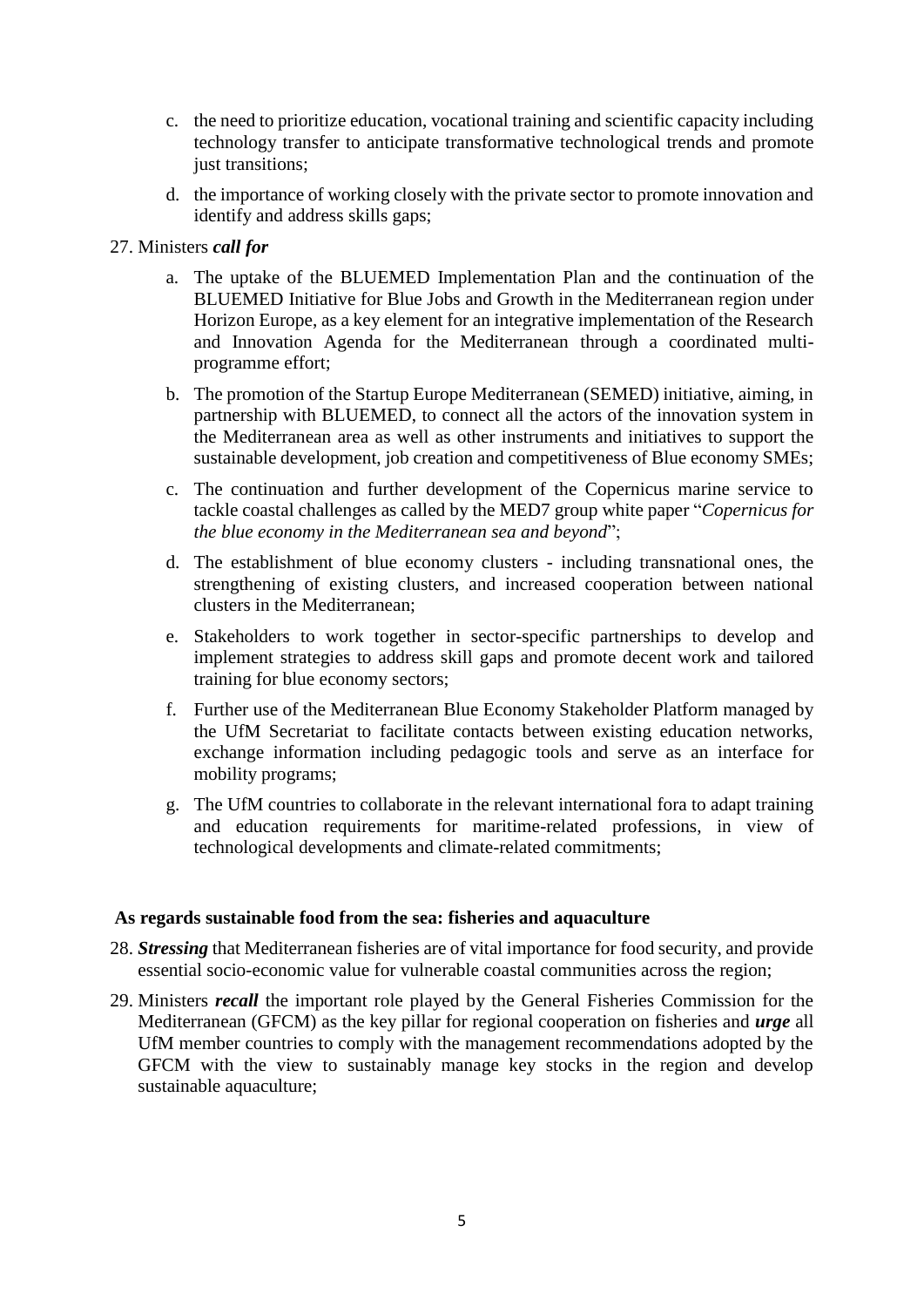- c. the need to prioritize education, vocational training and scientific capacity including technology transfer to anticipate transformative technological trends and promote just transitions;
- d. the importance of working closely with the private sector to promote innovation and identify and address skills gaps;

### 27. Ministers *call for*

- a. The uptake of the BLUEMED Implementation Plan and the continuation of the BLUEMED Initiative for Blue Jobs and Growth in the Mediterranean region under Horizon Europe, as a key element for an integrative implementation of the Research and Innovation Agenda for the Mediterranean through a coordinated multiprogramme effort;
- b. The promotion of the Startup Europe Mediterranean (SEMED) initiative, aiming, in partnership with BLUEMED, to connect all the actors of the innovation system in the Mediterranean area as well as other instruments and initiatives to support the sustainable development, job creation and competitiveness of Blue economy SMEs;
- c. The continuation and further development of the Copernicus marine service to tackle coastal challenges as called by the MED7 group white paper "*Copernicus for the blue economy in the Mediterranean sea and beyond*";
- d. The establishment of blue economy clusters including transnational ones, the strengthening of existing clusters, and increased cooperation between national clusters in the Mediterranean;
- e. Stakeholders to work together in sector-specific partnerships to develop and implement strategies to address skill gaps and promote decent work and tailored training for blue economy sectors;
- f. Further use of the Mediterranean Blue Economy Stakeholder Platform managed by the UfM Secretariat to facilitate contacts between existing education networks, exchange information including pedagogic tools and serve as an interface for mobility programs;
- g. The UfM countries to collaborate in the relevant international fora to adapt training and education requirements for maritime-related professions, in view of technological developments and climate-related commitments;

### **As regards sustainable food from the sea: fisheries and aquaculture**

- 28. *Stressing* that Mediterranean fisheries are of vital importance for food security, and provide essential socio-economic value for vulnerable coastal communities across the region;
- 29. Ministers *recall* the important role played by the General Fisheries Commission for the Mediterranean (GFCM) as the key pillar for regional cooperation on fisheries and *urge* all UfM member countries to comply with the management recommendations adopted by the GFCM with the view to sustainably manage key stocks in the region and develop sustainable aquaculture;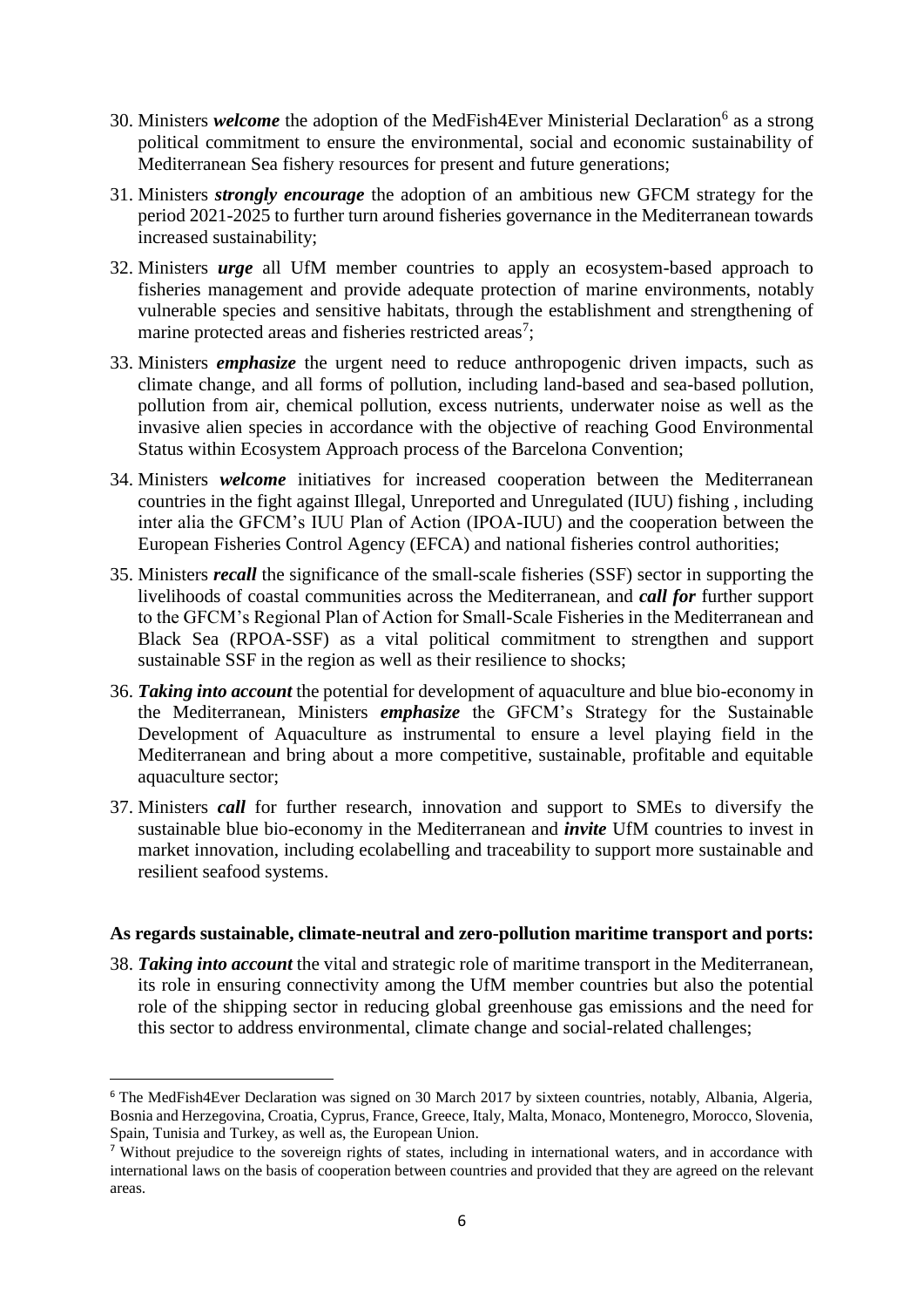- 30. Ministers *welcome* the adoption of the MedFish4Ever Ministerial Declaration<sup>6</sup> as a strong political commitment to ensure the environmental, social and economic sustainability of Mediterranean Sea fishery resources for present and future generations;
- 31. Ministers *strongly encourage* the adoption of an ambitious new GFCM strategy for the period 2021-2025 to further turn around fisheries governance in the Mediterranean towards increased sustainability;
- 32. Ministers *urge* all UfM member countries to apply an ecosystem-based approach to fisheries management and provide adequate protection of marine environments, notably vulnerable species and sensitive habitats, through the establishment and strengthening of marine protected areas and fisheries restricted areas<sup>7</sup>;
- 33. Ministers *emphasize* the urgent need to reduce anthropogenic driven impacts, such as climate change, and all forms of pollution, including land-based and sea-based pollution, pollution from air, chemical pollution, excess nutrients, underwater noise as well as the invasive alien species in accordance with the objective of reaching Good Environmental Status within Ecosystem Approach process of the Barcelona Convention;
- 34. Ministers *welcome* initiatives for increased cooperation between the Mediterranean countries in the fight against Illegal, Unreported and Unregulated (IUU) fishing , including inter alia the GFCM's IUU Plan of Action (IPOA-IUU) and the cooperation between the European Fisheries Control Agency (EFCA) and national fisheries control authorities;
- 35. Ministers *recall* the significance of the small-scale fisheries (SSF) sector in supporting the livelihoods of coastal communities across the Mediterranean, and *call for* further support to the GFCM's Regional Plan of Action for Small-Scale Fisheries in the Mediterranean and Black Sea (RPOA-SSF) as a vital political commitment to strengthen and support sustainable SSF in the region as well as their resilience to shocks;
- 36. *Taking into account* the potential for development of aquaculture and blue bio-economy in the Mediterranean, Ministers *emphasize* the GFCM's Strategy for the Sustainable Development of Aquaculture as instrumental to ensure a level playing field in the Mediterranean and bring about a more competitive, sustainable, profitable and equitable aquaculture sector;
- 37. Ministers *call* for further research, innovation and support to SMEs to diversify the sustainable blue bio-economy in the Mediterranean and *invite* UfM countries to invest in market innovation, including ecolabelling and traceability to support more sustainable and resilient seafood systems.

### **As regards sustainable, climate-neutral and zero-pollution maritime transport and ports:**

38. *Taking into account* the vital and strategic role of maritime transport in the Mediterranean, its role in ensuring connectivity among the UfM member countries but also the potential role of the shipping sector in reducing global greenhouse gas emissions and the need for this sector to address environmental, climate change and social-related challenges;

<sup>&</sup>lt;sup>6</sup> The MedFish4Ever Declaration was signed on 30 March 2017 by sixteen countries, notably, Albania, Algeria, Bosnia and Herzegovina, Croatia, Cyprus, France, Greece, Italy, Malta, Monaco, Montenegro, Morocco, Slovenia, Spain, Tunisia and Turkey, as well as, the European Union.

<sup>&</sup>lt;sup>7</sup> Without prejudice to the sovereign rights of states, including in international waters, and in accordance with international laws on the basis of cooperation between countries and provided that they are agreed on the relevant areas.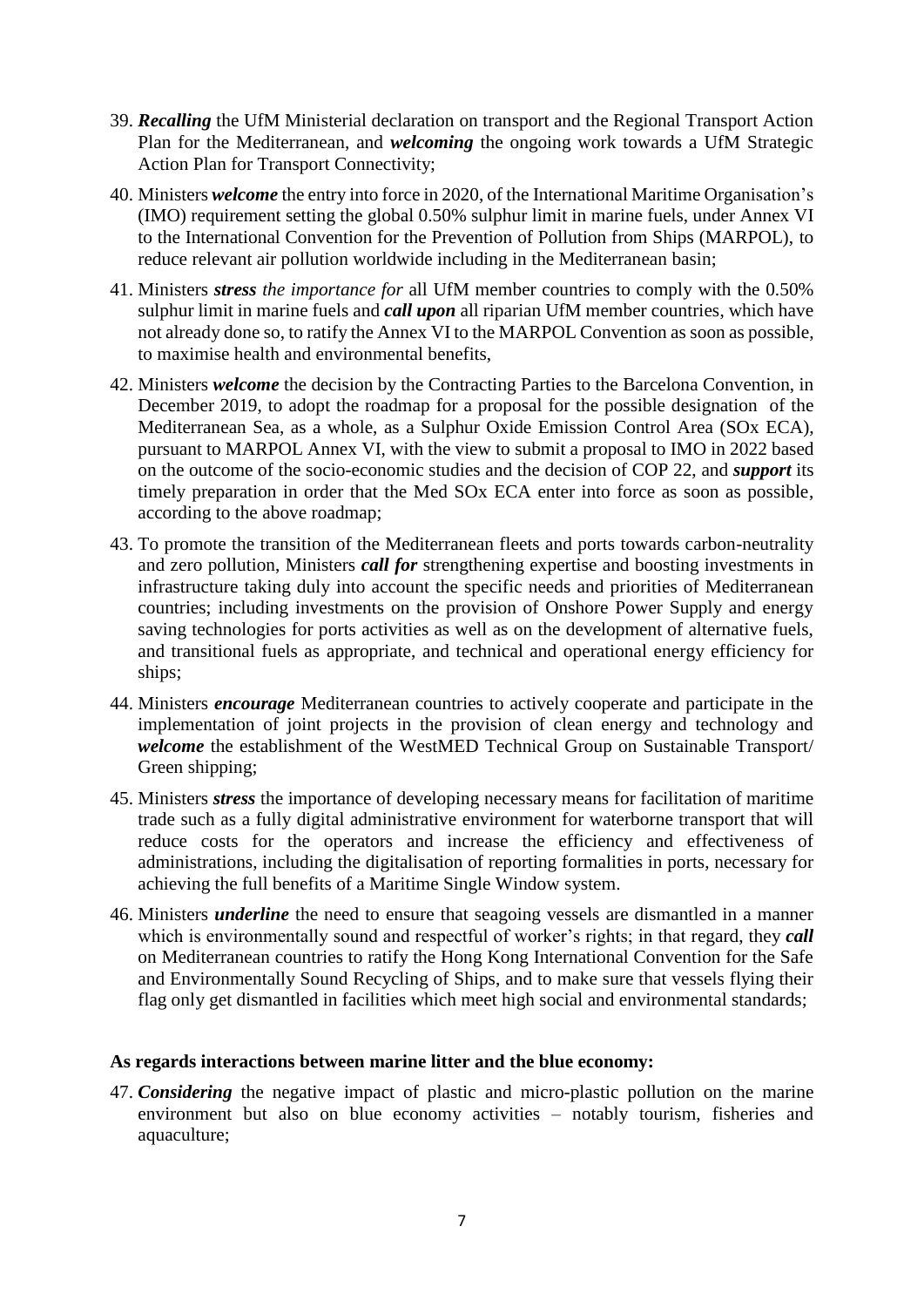- 39. *Recalling* the UfM Ministerial declaration on transport and the Regional Transport Action Plan for the Mediterranean, and *welcoming* the ongoing work towards a UfM Strategic Action Plan for Transport Connectivity;
- 40. Ministers *welcome* the entry into force in 2020, of the International Maritime Organisation's (IMO) requirement setting the global 0.50% sulphur limit in marine fuels, under Annex VI to the International Convention for the Prevention of Pollution from Ships (MARPOL), to reduce relevant air pollution worldwide including in the Mediterranean basin;
- 41. Ministers *stress the importance for* all UfM member countries to comply with the 0.50% sulphur limit in marine fuels and *call upon* all riparian UfM member countries, which have not already done so, to ratify the Annex VI to the MARPOL Convention as soon as possible, to maximise health and environmental benefits,
- 42. Ministers *welcome* the decision by the Contracting Parties to the Barcelona Convention, in December 2019, to adopt the roadmap for a proposal for the possible designation of the Mediterranean Sea, as a whole, as a Sulphur Oxide Emission Control Area (SOx ECA), pursuant to MARPOL Annex VI, with the view to submit a proposal to IMO in 2022 based on the outcome of the socio-economic studies and the decision of COP 22, and *support* its timely preparation in order that the Med SOx ECA enter into force as soon as possible, according to the above roadmap;
- 43. To promote the transition of the Mediterranean fleets and ports towards carbon-neutrality and zero pollution, Ministers *call for* strengthening expertise and boosting investments in infrastructure taking duly into account the specific needs and priorities of Mediterranean countries; including investments on the provision of Onshore Power Supply and energy saving technologies for ports activities as well as on the development of alternative fuels, and transitional fuels as appropriate, and technical and operational energy efficiency for ships;
- 44. Ministers *encourage* Mediterranean countries to actively cooperate and participate in the implementation of joint projects in the provision of clean energy and technology and *welcome* the establishment of the WestMED Technical Group on Sustainable Transport/ Green shipping;
- 45. Ministers *stress* the importance of developing necessary means for facilitation of maritime trade such as a fully digital administrative environment for waterborne transport that will reduce costs for the operators and increase the efficiency and effectiveness of administrations, including the digitalisation of reporting formalities in ports, necessary for achieving the full benefits of a Maritime Single Window system.
- 46. Ministers *underline* the need to ensure that seagoing vessels are dismantled in a manner which is environmentally sound and respectful of worker's rights; in that regard, they *call* on Mediterranean countries to ratify the Hong Kong International Convention for the Safe and Environmentally Sound Recycling of Ships, and to make sure that vessels flying their flag only get dismantled in facilities which meet high social and environmental standards;

### **As regards interactions between marine litter and the blue economy:**

47. *Considering* the negative impact of plastic and micro-plastic pollution on the marine environment but also on blue economy activities – notably tourism, fisheries and aquaculture;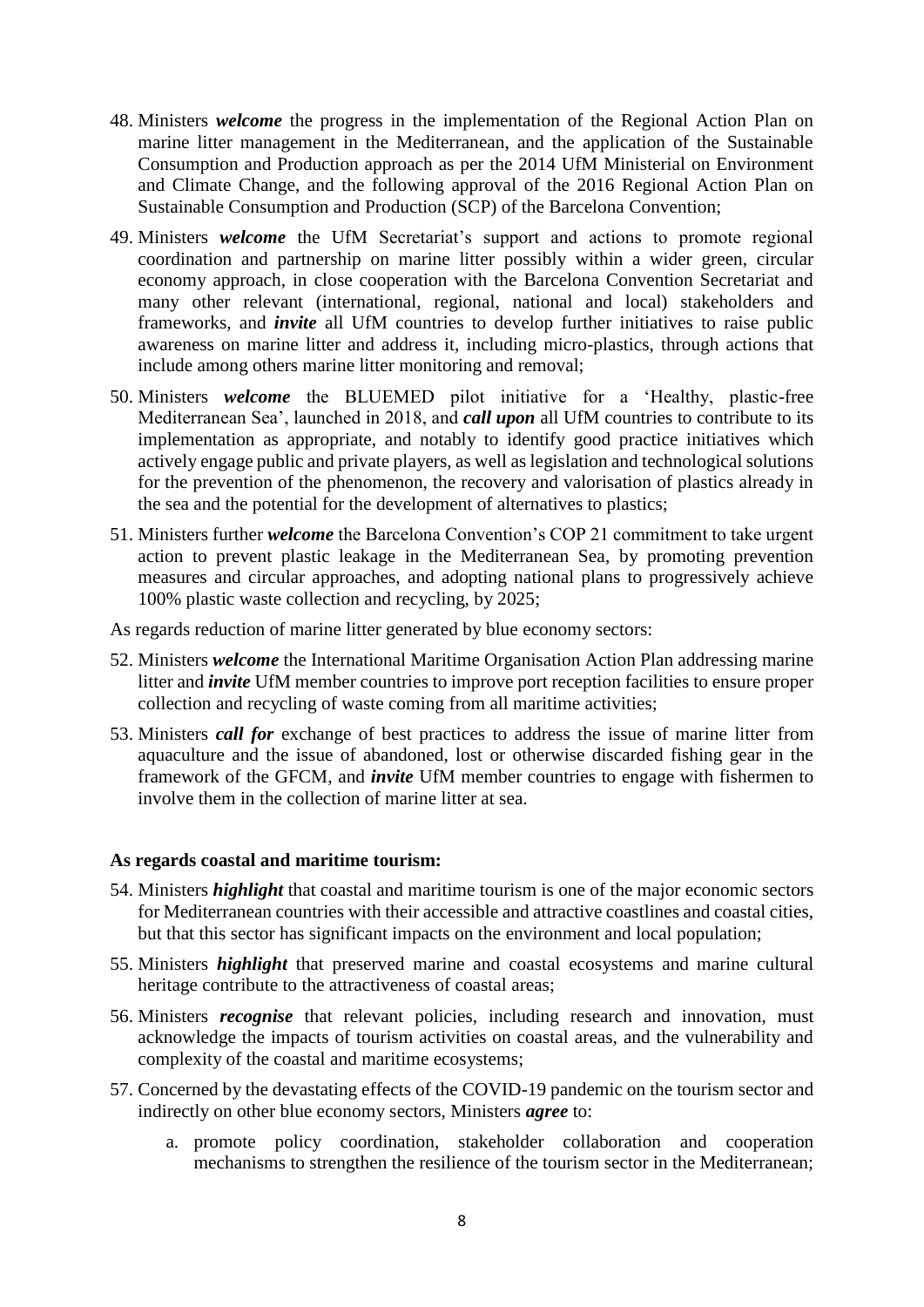- 48. Ministers *welcome* the progress in the implementation of the Regional Action Plan on marine litter management in the Mediterranean, and the application of the Sustainable Consumption and Production approach as per the 2014 UfM Ministerial on Environment and Climate Change, and the following approval of the 2016 Regional Action Plan on Sustainable Consumption and Production (SCP) of the Barcelona Convention;
- 49. Ministers *welcome* the UfM Secretariat's support and actions to promote regional coordination and partnership on marine litter possibly within a wider green, circular economy approach, in close cooperation with the Barcelona Convention Secretariat and many other relevant (international, regional, national and local) stakeholders and frameworks, and *invite* all UfM countries to develop further initiatives to raise public awareness on marine litter and address it, including micro-plastics, through actions that include among others marine litter monitoring and removal;
- 50. Ministers *welcome* the BLUEMED pilot initiative for a 'Healthy, plastic-free Mediterranean Sea', launched in 2018, and *call upon* all UfM countries to contribute to its implementation as appropriate, and notably to identify good practice initiatives which actively engage public and private players, as well as legislation and technological solutions for the prevention of the phenomenon, the recovery and valorisation of plastics already in the sea and the potential for the development of alternatives to plastics;
- 51. Ministers further *welcome* the Barcelona Convention's COP 21 commitment to take urgent action to prevent plastic leakage in the Mediterranean Sea, by promoting prevention measures and circular approaches, and adopting national plans to progressively achieve 100% plastic waste collection and recycling, by 2025;

As regards reduction of marine litter generated by blue economy sectors:

- 52. Ministers *welcome* the International Maritime Organisation Action Plan addressing marine litter and *invite* UfM member countries to improve port reception facilities to ensure proper collection and recycling of waste coming from all maritime activities;
- 53. Ministers *call for* exchange of best practices to address the issue of marine litter from aquaculture and the issue of abandoned, lost or otherwise discarded fishing gear in the framework of the GFCM, and *invite* UfM member countries to engage with fishermen to involve them in the collection of marine litter at sea.

### **As regards coastal and maritime tourism:**

- 54. Ministers *highlight* that coastal and maritime tourism is one of the major economic sectors for Mediterranean countries with their accessible and attractive coastlines and coastal cities, but that this sector has significant impacts on the environment and local population;
- 55. Ministers *highlight* that preserved marine and coastal ecosystems and marine cultural heritage contribute to the attractiveness of coastal areas;
- 56. Ministers *recognise* that relevant policies, including research and innovation, must acknowledge the impacts of tourism activities on coastal areas, and the vulnerability and complexity of the coastal and maritime ecosystems;
- 57. Concerned by the devastating effects of the COVID-19 pandemic on the tourism sector and indirectly on other blue economy sectors, Ministers *agree* to:
	- a. promote policy coordination, stakeholder collaboration and cooperation mechanisms to strengthen the resilience of the tourism sector in the Mediterranean;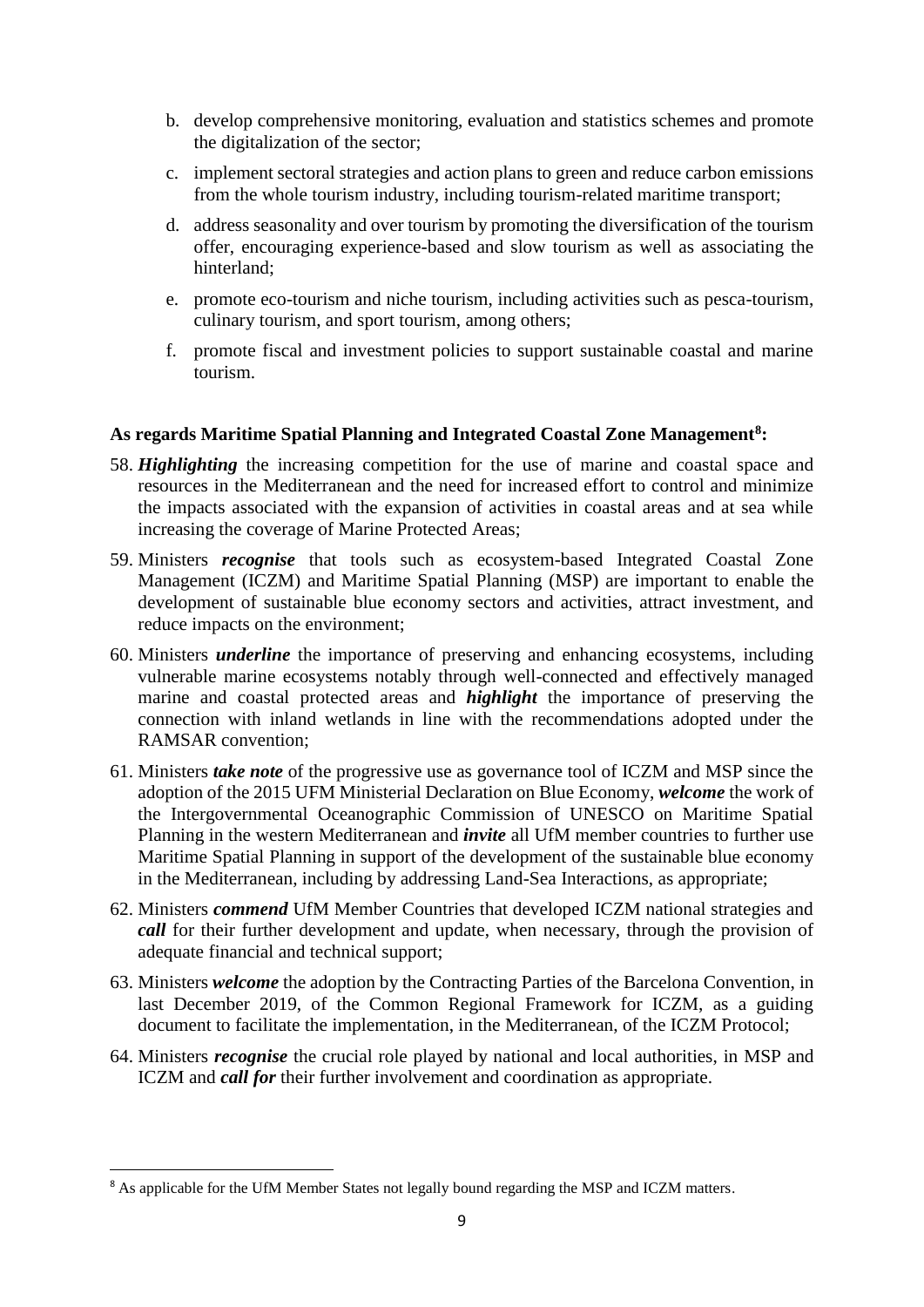- b. develop comprehensive monitoring, evaluation and statistics schemes and promote the digitalization of the sector;
- c. implement sectoral strategies and action plans to green and reduce carbon emissions from the whole tourism industry, including tourism-related maritime transport;
- d. address seasonality and over tourism by promoting the diversification of the tourism offer, encouraging experience-based and slow tourism as well as associating the hinterland;
- e. promote eco-tourism and niche tourism, including activities such as pesca-tourism, culinary tourism, and sport tourism, among others;
- f. promote fiscal and investment policies to support sustainable coastal and marine tourism.

### **As regards Maritime Spatial Planning and Integrated Coastal Zone Management<sup>8</sup> :**

- 58. *Highlighting* the increasing competition for the use of marine and coastal space and resources in the Mediterranean and the need for increased effort to control and minimize the impacts associated with the expansion of activities in coastal areas and at sea while increasing the coverage of Marine Protected Areas;
- 59. Ministers *recognise* that tools such as ecosystem-based Integrated Coastal Zone Management (ICZM) and Maritime Spatial Planning (MSP) are important to enable the development of sustainable blue economy sectors and activities, attract investment, and reduce impacts on the environment;
- 60. Ministers *underline* the importance of preserving and enhancing ecosystems, including vulnerable marine ecosystems notably through well-connected and effectively managed marine and coastal protected areas and *highlight* the importance of preserving the connection with inland wetlands in line with the recommendations adopted under the RAMSAR convention;
- 61. Ministers *take note* of the progressive use as governance tool of ICZM and MSP since the adoption of the 2015 UFM Ministerial Declaration on Blue Economy, *welcome* the work of the Intergovernmental Oceanographic Commission of UNESCO on Maritime Spatial Planning in the western Mediterranean and *invite* all UfM member countries to further use Maritime Spatial Planning in support of the development of the sustainable blue economy in the Mediterranean, including by addressing Land-Sea Interactions, as appropriate;
- 62. Ministers *commend* UfM Member Countries that developed ICZM national strategies and *call* for their further development and update, when necessary, through the provision of adequate financial and technical support;
- 63. Ministers *welcome* the adoption by the Contracting Parties of the Barcelona Convention, in last December 2019, of the Common Regional Framework for ICZM, as a guiding document to facilitate the implementation, in the Mediterranean, of the ICZM Protocol;
- 64. Ministers *recognise* the crucial role played by national and local authorities, in MSP and ICZM and *call for* their further involvement and coordination as appropriate.

<sup>&</sup>lt;sup>8</sup> As applicable for the UfM Member States not legally bound regarding the MSP and ICZM matters.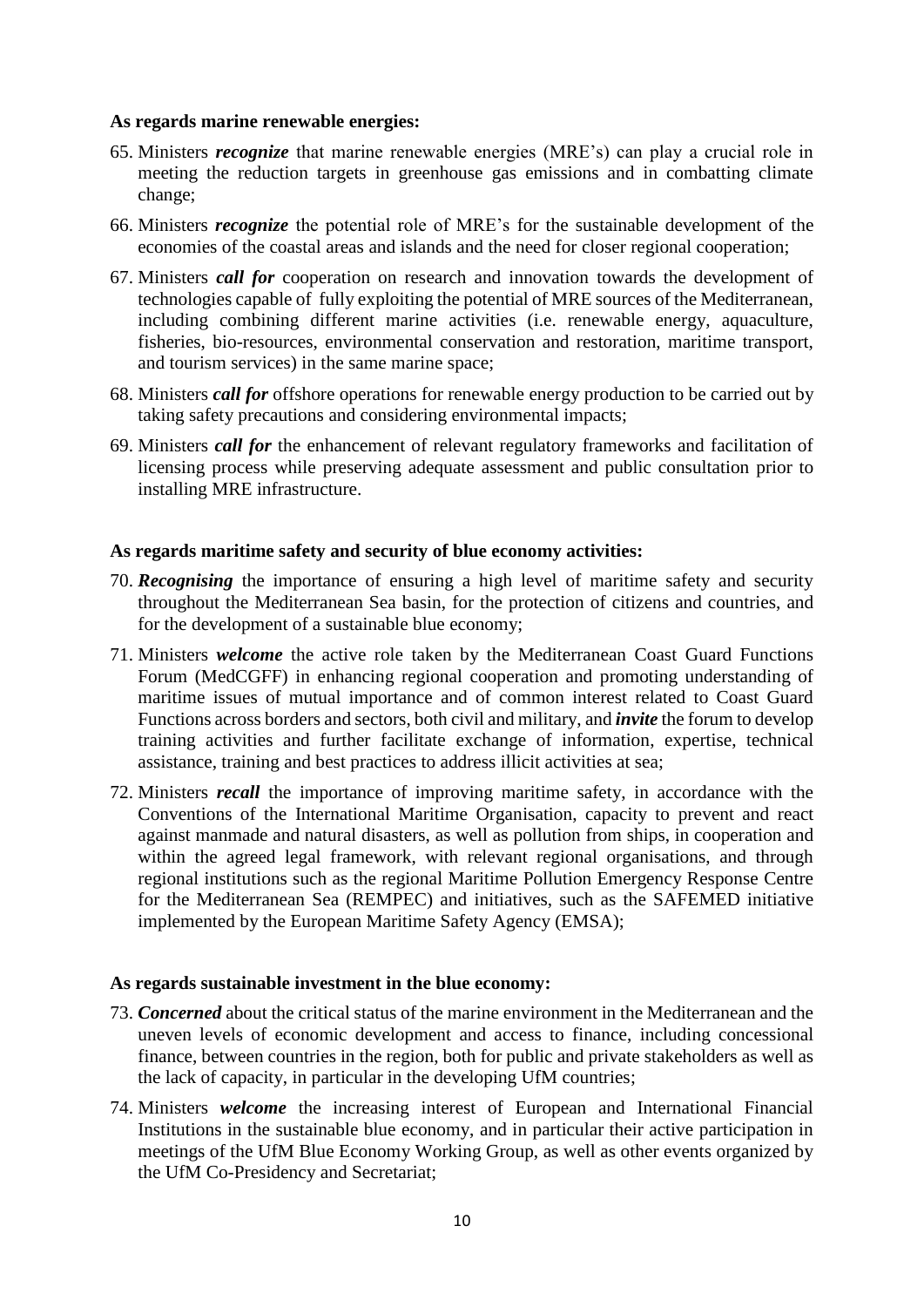### **As regards marine renewable energies:**

- 65. Ministers *recognize* that marine renewable energies (MRE's) can play a crucial role in meeting the reduction targets in greenhouse gas emissions and in combatting climate change;
- 66. Ministers *recognize* the potential role of MRE's for the sustainable development of the economies of the coastal areas and islands and the need for closer regional cooperation;
- 67. Ministers *call for* cooperation on research and innovation towards the development of technologies capable of fully exploiting the potential of MRE sources of the Mediterranean, including combining different marine activities (i.e. renewable energy, aquaculture, fisheries, bio-resources, environmental conservation and restoration, maritime transport, and tourism services) in the same marine space;
- 68. Ministers *call for* offshore operations for renewable energy production to be carried out by taking safety precautions and considering environmental impacts;
- 69. Ministers *call for* the enhancement of relevant regulatory frameworks and facilitation of licensing process while preserving adequate assessment and public consultation prior to installing MRE infrastructure.

### **As regards maritime safety and security of blue economy activities:**

- 70. *Recognising* the importance of ensuring a high level of maritime safety and security throughout the Mediterranean Sea basin, for the protection of citizens and countries, and for the development of a sustainable blue economy;
- 71. Ministers *welcome* the active role taken by the Mediterranean Coast Guard Functions Forum (MedCGFF) in enhancing regional cooperation and promoting understanding of maritime issues of mutual importance and of common interest related to Coast Guard Functions across borders and sectors, both civil and military, and *invite* the forum to develop training activities and further facilitate exchange of information, expertise, technical assistance, training and best practices to address illicit activities at sea;
- 72. Ministers *recall* the importance of improving maritime safety, in accordance with the Conventions of the International Maritime Organisation, capacity to prevent and react against manmade and natural disasters, as well as pollution from ships, in cooperation and within the agreed legal framework, with relevant regional organisations, and through regional institutions such as the regional Maritime Pollution Emergency Response Centre for the Mediterranean Sea (REMPEC) and initiatives, such as the SAFEMED initiative implemented by the European Maritime Safety Agency (EMSA);

#### **As regards sustainable investment in the blue economy:**

- 73. *Concerned* about the critical status of the marine environment in the Mediterranean and the uneven levels of economic development and access to finance, including concessional finance, between countries in the region, both for public and private stakeholders as well as the lack of capacity, in particular in the developing UfM countries;
- 74. Ministers *welcome* the increasing interest of European and International Financial Institutions in the sustainable blue economy, and in particular their active participation in meetings of the UfM Blue Economy Working Group, as well as other events organized by the UfM Co-Presidency and Secretariat;